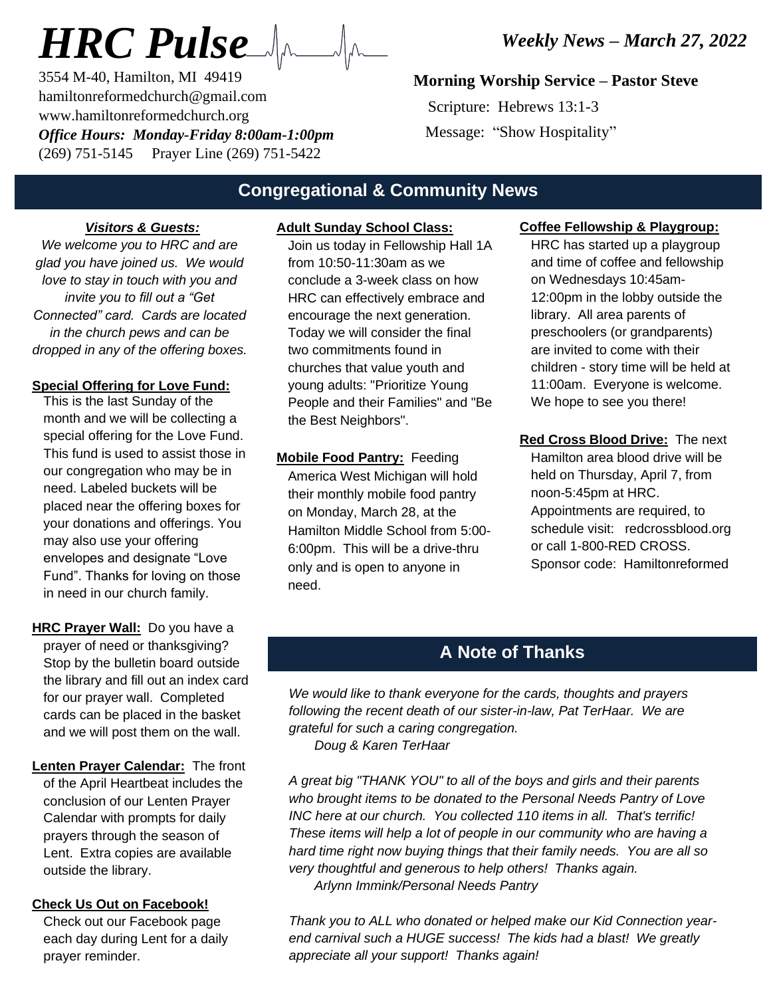# *HRC Pulse*

3554 M-40, Hamilton, MI 49419 hamiltonreformedchurch@gmail.com www.hamiltonreformedchurch.org *Office Hours: Monday-Friday 8:00am-1:00pm* (269) 751-5145 Prayer Line (269) 751-5422

## **Morning Worship Service – Pastor Steve**

 Scripture: Hebrews 13:1-3 Message: "Show Hospitality"

## **Congregational & Community News**

#### *Visitors & Guests:*

*We welcome you to HRC and are glad you have joined us. We would love to stay in touch with you and invite you to fill out a "Get Connected" card. Cards are located in the church pews and can be dropped in any of the offering boxes.*

#### **Special Offering for Love Fund:**

This is the last Sunday of the month and we will be collecting a special offering for the Love Fund. This fund is used to assist those in our congregation who may be in need. Labeled buckets will be placed near the offering boxes for your donations and offerings. You may also use your offering envelopes and designate "Love Fund". Thanks for loving on those in need in our church family.

- **HRC Prayer Wall:** Do you have a prayer of need or thanksgiving? Stop by the bulletin board outside the library and fill out an index card for our prayer wall. Completed cards can be placed in the basket and we will post them on the wall.
- **Lenten Prayer Calendar:** The front of the April Heartbeat includes the conclusion of our Lenten Prayer Calendar with prompts for daily prayers through the season of Lent. Extra copies are available outside the library.

#### **Check Us Out on Facebook!**

Check out our Facebook page each day during Lent for a daily prayer reminder.

## **Adult Sunday School Class:**

Join us today in Fellowship Hall 1A from 10:50-11:30am as we conclude a 3-week class on how HRC can effectively embrace and encourage the next generation. Today we will consider the final two commitments found in churches that value youth and young adults: "Prioritize Young People and their Families" and "Be the Best Neighbors".

**Mobile Food Pantry:** Feeding America West Michigan will hold their monthly mobile food pantry on Monday, March 28, at the Hamilton Middle School from 5:00- 6:00pm. This will be a drive-thru only and is open to anyone in need.

#### **Coffee Fellowship & Playgroup:**

HRC has started up a playgroup and time of coffee and fellowship on Wednesdays 10:45am-12:00pm in the lobby outside the library. All area parents of preschoolers (or grandparents) are invited to come with their children - story time will be held at 11:00am. Everyone is welcome. We hope to see you there!

**Red Cross Blood Drive:** The next Hamilton area blood drive will be held on Thursday, April 7, from noon-5:45pm at HRC. Appointments are required, to schedule visit: redcrossblood.org or call 1-800-RED CROSS. Sponsor code: Hamiltonreformed

## **A Note of Thanks**

*We would like to thank everyone for the cards, thoughts and prayers following the recent death of our sister-in-law, Pat TerHaar. We are grateful for such a caring congregation.*

 *Doug & Karen TerHaar*

*A great big "THANK YOU" to all of the boys and girls and their parents who brought items to be donated to the Personal Needs Pantry of Love INC here at our church. You collected 110 items in all. That's terrific! These items will help a lot of people in our community who are having a hard time right now buying things that their family needs. You are all so very thoughtful and generous to help others! Thanks again. Arlynn Immink/Personal Needs Pantry*

*Thank you to ALL who donated or helped make our Kid Connection yearend carnival such a HUGE success! The kids had a blast! We greatly appreciate all your support! Thanks again!*